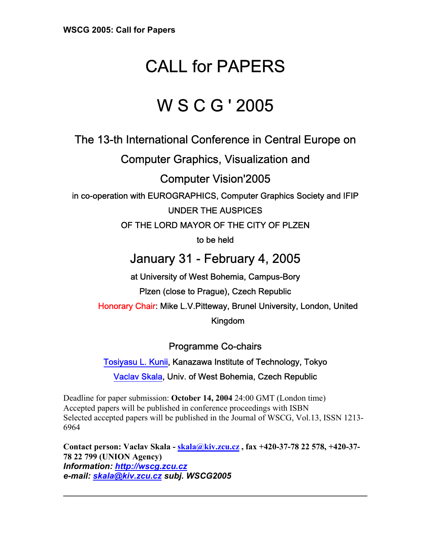# CALL for PAPERS

## W S C G ' 2005

The 13-th International Conference in Central Europe on

Computer Graphics, Visualization and

Computer Vision'2005

in co-operation with EUROGRAPHICS, Computer Graphics Society and IFIP

UNDER THE AUSPICES

OF THE LORD MAYOR OF THE CITY OF PLZEN

to be held

### January 31 - February 4, 2005

at University of West Bohemia, Campus-Bory Plzen (close to Prague), Czech Republic Honorary Chair: Mike L.V.Pitteway, Brunel University, London, United Kingdom

Programme Co-chairs

[Tosiyasu L. Kunii,](http://www.kunii.com/) Kanazawa Institute of Technology, Tokyo [Vaclav Skala,](http://iason.zcu.cz/~skala) Univ. of West Bohemia, Czech Republic

Deadline for paper submission: **October 14, 2004** 24:00 GMT (London time) Accepted papers will be published in conference proceedings with ISBN Selected accepted papers will be published in the Journal of WSCG, Vol.13, ISSN 1213- 6964

**Contact person: Vaclav Skala - [skala@kiv.zcu.cz](mailto:skala@kiv.zcu.cz) , fax +420-37-78 22 578, +420-37- 78 22 799 (UNION Agency)** *Information: [http://wscg.zcu.cz](http://wscg.zcu.cz/) e-mail: [skala@kiv.zcu.cz](mailto:skala@kiv.zcu.cz) subj. WSCG2005*